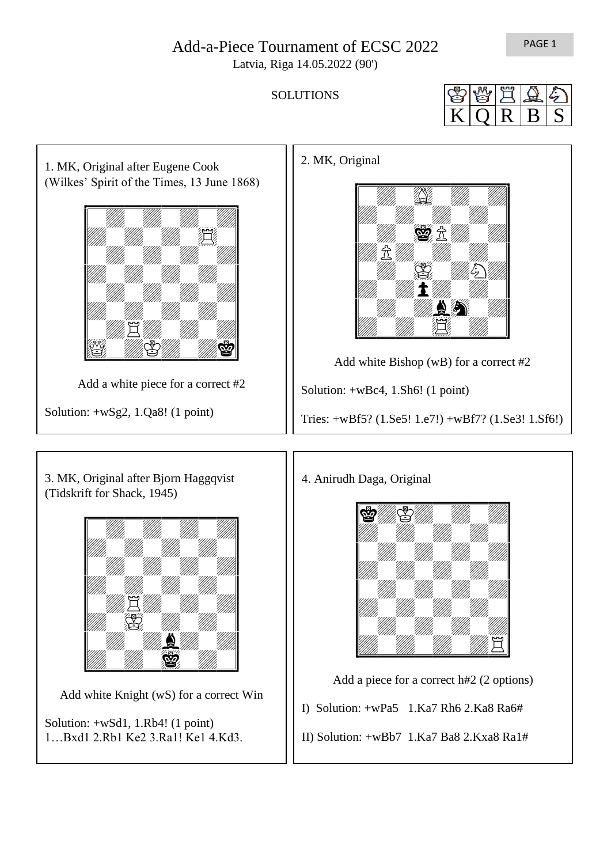## Add-a-Piece Tournament of ECSC 2022

Latvia, Riga 14.05.2022 (90')

**SOLUTIONS** 

 $K Q R B S$ 



PAGE 1